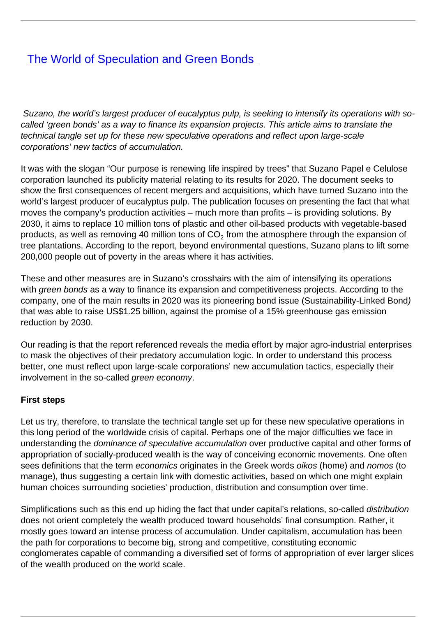# **[The World of Speculation and Green Bonds](/bulletin-articles/the-world-of-speculation-and-green-bonds)**

 Suzano, the world's largest producer of eucalyptus pulp, is seeking to intensify its operations with socalled 'green bonds' as a way to finance its expansion projects. This article aims to translate the technical tangle set up for these new speculative operations and reflect upon large-scale corporations' new tactics of accumulation.

It was with the slogan "Our purpose is renewing life inspired by trees" that Suzano Papel e Celulose corporation launched its publicity material relating to its results for 2020. The document seeks to show the first consequences of recent mergers and acquisitions, which have turned Suzano into the world's largest producer of eucalyptus pulp. The publication focuses on presenting the fact that what moves the company's production activities – much more than profits – is providing solutions. By 2030, it aims to replace 10 million tons of plastic and other oil-based products with vegetable-based products, as well as removing 40 million tons of CO $_2$  from the atmosphere through the expansion of tree plantations. According to the report, beyond environmental questions, Suzano plans to lift some 200,000 people out of poverty in the areas where it has activities.

These and other measures are in Suzano's crosshairs with the aim of intensifying its operations with green bonds as a way to finance its expansion and competitiveness projects. According to the company, one of the main results in 2020 was its pioneering bond issue (Sustainability-Linked Bond) that was able to raise US\$1.25 billion, against the promise of a 15% greenhouse gas emission reduction by 2030.

Our reading is that the report referenced reveals the media effort by major agro-industrial enterprises to mask the objectives of their predatory accumulation logic. In order to understand this process better, one must reflect upon large-scale corporations' new accumulation tactics, especially their involvement in the so-called green economy.

### **First steps**

Let us try, therefore, to translate the technical tangle set up for these new speculative operations in this long period of the worldwide crisis of capital. Perhaps one of the major difficulties we face in understanding the dominance of speculative accumulation over productive capital and other forms of appropriation of socially-produced wealth is the way of conceiving economic movements. One often sees definitions that the term economics originates in the Greek words oikos (home) and nomos (to manage), thus suggesting a certain link with domestic activities, based on which one might explain human choices surrounding societies' production, distribution and consumption over time.

Simplifications such as this end up hiding the fact that under capital's relations, so-called *distribution* does not orient completely the wealth produced toward households' final consumption. Rather, it mostly goes toward an intense process of accumulation. Under capitalism, accumulation has been the path for corporations to become big, strong and competitive, constituting economic conglomerates capable of commanding a diversified set of forms of appropriation of ever larger slices of the wealth produced on the world scale.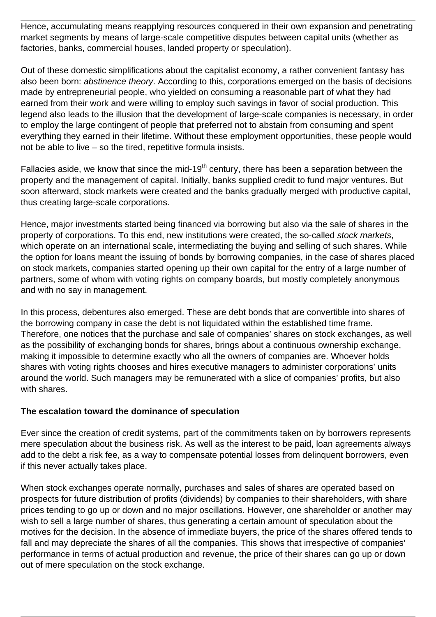Hence, accumulating means reapplying resources conquered in their own expansion and penetrating market segments by means of large-scale competitive disputes between capital units (whether as factories, banks, commercial houses, landed property or speculation).

Out of these domestic simplifications about the capitalist economy, a rather convenient fantasy has also been born: abstinence theory. According to this, corporations emerged on the basis of decisions made by entrepreneurial people, who yielded on consuming a reasonable part of what they had earned from their work and were willing to employ such savings in favor of social production. This legend also leads to the illusion that the development of large-scale companies is necessary, in order to employ the large contingent of people that preferred not to abstain from consuming and spent everything they earned in their lifetime. Without these employment opportunities, these people would not be able to live – so the tired, repetitive formula insists.

Fallacies aside, we know that since the mid-19<sup>th</sup> century, there has been a separation between the property and the management of capital. Initially, banks supplied credit to fund major ventures. But soon afterward, stock markets were created and the banks gradually merged with productive capital, thus creating large-scale corporations.

Hence, major investments started being financed via borrowing but also via the sale of shares in the property of corporations. To this end, new institutions were created, the so-called stock markets, which operate on an international scale, intermediating the buying and selling of such shares. While the option for loans meant the issuing of bonds by borrowing companies, in the case of shares placed on stock markets, companies started opening up their own capital for the entry of a large number of partners, some of whom with voting rights on company boards, but mostly completely anonymous and with no say in management.

In this process, debentures also emerged. These are debt bonds that are convertible into shares of the borrowing company in case the debt is not liquidated within the established time frame. Therefore, one notices that the purchase and sale of companies' shares on stock exchanges, as well as the possibility of exchanging bonds for shares, brings about a continuous ownership exchange, making it impossible to determine exactly who all the owners of companies are. Whoever holds shares with voting rights chooses and hires executive managers to administer corporations' units around the world. Such managers may be remunerated with a slice of companies' profits, but also with shares.

### **The escalation toward the dominance of speculation**

Ever since the creation of credit systems, part of the commitments taken on by borrowers represents mere speculation about the business risk. As well as the interest to be paid, loan agreements always add to the debt a risk fee, as a way to compensate potential losses from delinquent borrowers, even if this never actually takes place.

When stock exchanges operate normally, purchases and sales of shares are operated based on prospects for future distribution of profits (dividends) by companies to their shareholders, with share prices tending to go up or down and no major oscillations. However, one shareholder or another may wish to sell a large number of shares, thus generating a certain amount of speculation about the motives for the decision. In the absence of immediate buyers, the price of the shares offered tends to fall and may depreciate the shares of all the companies. This shows that irrespective of companies' performance in terms of actual production and revenue, the price of their shares can go up or down out of mere speculation on the stock exchange.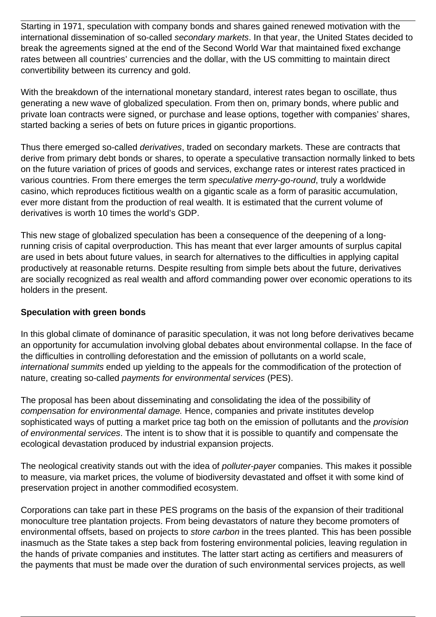Starting in 1971, speculation with company bonds and shares gained renewed motivation with the international dissemination of so-called secondary markets. In that year, the United States decided to break the agreements signed at the end of the Second World War that maintained fixed exchange rates between all countries' currencies and the dollar, with the US committing to maintain direct convertibility between its currency and gold.

With the breakdown of the international monetary standard, interest rates began to oscillate, thus generating a new wave of globalized speculation. From then on, primary bonds, where public and private loan contracts were signed, or purchase and lease options, together with companies' shares, started backing a series of bets on future prices in gigantic proportions.

Thus there emerged so-called derivatives, traded on secondary markets. These are contracts that derive from primary debt bonds or shares, to operate a speculative transaction normally linked to bets on the future variation of prices of goods and services, exchange rates or interest rates practiced in various countries. From there emerges the term speculative merry-go-round, truly a worldwide casino, which reproduces fictitious wealth on a gigantic scale as a form of parasitic accumulation, ever more distant from the production of real wealth. It is estimated that the current volume of derivatives is worth 10 times the world's GDP.

This new stage of globalized speculation has been a consequence of the deepening of a longrunning crisis of capital overproduction. This has meant that ever larger amounts of surplus capital are used in bets about future values, in search for alternatives to the difficulties in applying capital productively at reasonable returns. Despite resulting from simple bets about the future, derivatives are socially recognized as real wealth and afford commanding power over economic operations to its holders in the present.

### **Speculation with green bonds**

In this global climate of dominance of parasitic speculation, it was not long before derivatives became an opportunity for accumulation involving global debates about environmental collapse. In the face of the difficulties in controlling deforestation and the emission of pollutants on a world scale, international summits ended up yielding to the appeals for the commodification of the protection of nature, creating so-called payments for environmental services (PES).

The proposal has been about disseminating and consolidating the idea of the possibility of compensation for environmental damage. Hence, companies and private institutes develop sophisticated ways of putting a market price tag both on the emission of pollutants and the *provision* of environmental services. The intent is to show that it is possible to quantify and compensate the ecological devastation produced by industrial expansion projects.

The neological creativity stands out with the idea of *polluter-payer* companies. This makes it possible to measure, via market prices, the volume of biodiversity devastated and offset it with some kind of preservation project in another commodified ecosystem.

Corporations can take part in these PES programs on the basis of the expansion of their traditional monoculture tree plantation projects. From being devastators of nature they become promoters of environmental offsets, based on projects to *store carbon* in the trees planted. This has been possible inasmuch as the State takes a step back from fostering environmental policies, leaving regulation in the hands of private companies and institutes. The latter start acting as certifiers and measurers of the payments that must be made over the duration of such environmental services projects, as well